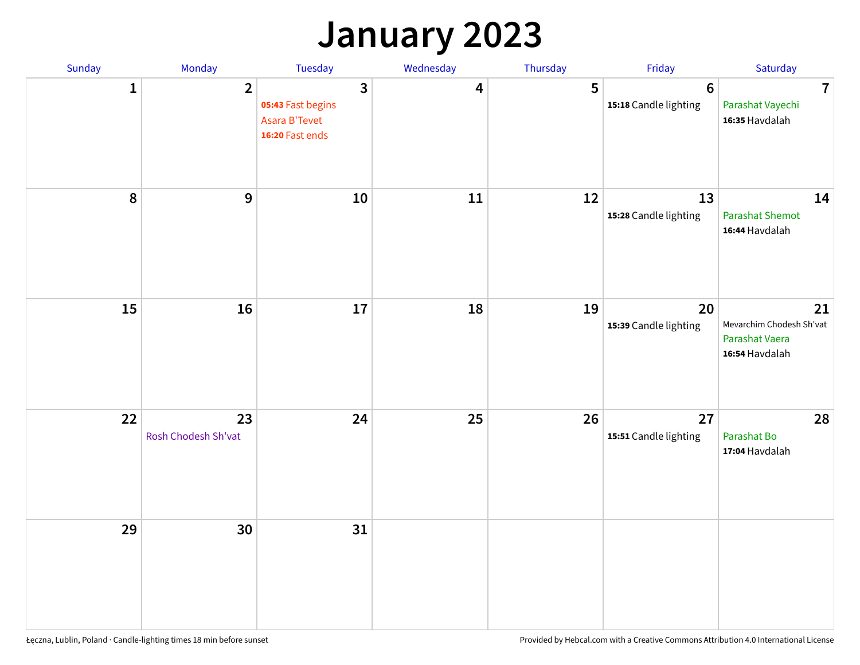# **January 2023**

| Sunday           | Monday                    | Tuesday                                                                        | Wednesday | Thursday | Friday                                   | Saturday                                                           |
|------------------|---------------------------|--------------------------------------------------------------------------------|-----------|----------|------------------------------------------|--------------------------------------------------------------------|
| 1                | $\overline{2}$            | $\overline{3}$<br>05:43 Fast begins<br><b>Asara B'Tevet</b><br>16:20 Fast ends | 4         | 5        | $6\phantom{1}6$<br>15:18 Candle lighting | $\overline{7}$<br>Parashat Vayechi<br>16:35 Havdalah               |
| $\boldsymbol{8}$ | $\boldsymbol{9}$          | 10                                                                             | 11        | 12       | 13<br>15:28 Candle lighting              | 14<br><b>Parashat Shemot</b><br>16:44 Havdalah                     |
| 15               | 16                        | 17                                                                             | 18        | 19       | 20<br>15:39 Candle lighting              | 21<br>Mevarchim Chodesh Sh'vat<br>Parashat Vaera<br>16:54 Havdalah |
| 22               | 23<br>Rosh Chodesh Sh'vat | 24                                                                             | 25        | 26       | 27<br>15:51 Candle lighting              | 28<br>Parashat Bo<br>17:04 Havdalah                                |
| 29               | 30                        | 31                                                                             |           |          |                                          |                                                                    |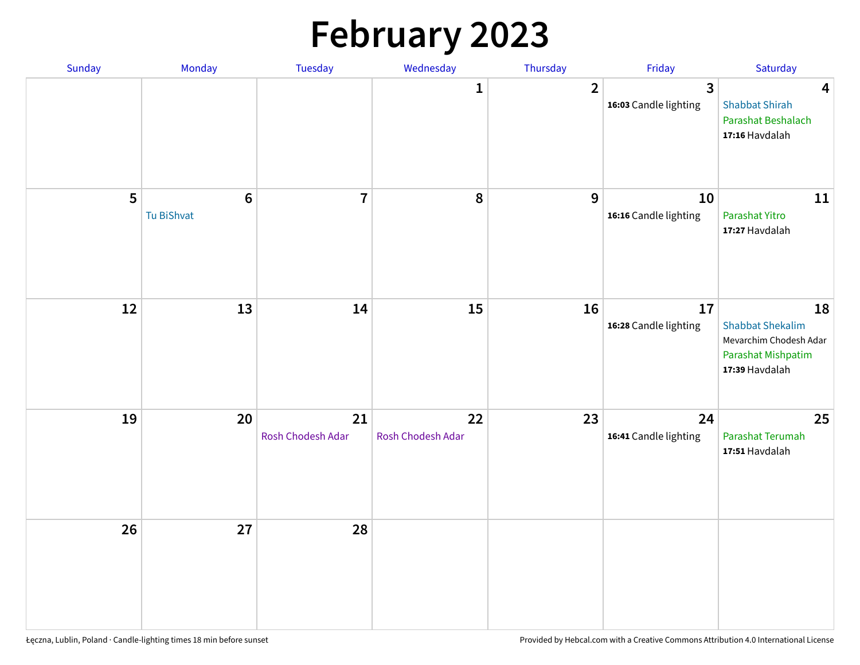# **February 2023**

| Sunday | Monday                        | Tuesday                 | Wednesday               | Thursday       | Friday                                  | Saturday                                                                                               |
|--------|-------------------------------|-------------------------|-------------------------|----------------|-----------------------------------------|--------------------------------------------------------------------------------------------------------|
|        |                               |                         | 1                       | $\overline{2}$ | $\overline{3}$<br>16:03 Candle lighting | $\overline{\mathbf{4}}$<br><b>Shabbat Shirah</b><br>Parashat Beshalach<br>17:16 Havdalah               |
| 5      | $6\phantom{1}6$<br>Tu BiShvat | $\overline{7}$          | 8                       | 9              | 10<br>16:16 Candle lighting             | 11<br>Parashat Yitro<br>17:27 Havdalah                                                                 |
| 12     | 13                            | 14                      | 15                      | 16             | 17<br>16:28 Candle lighting             | 18<br><b>Shabbat Shekalim</b><br>Mevarchim Chodesh Adar<br><b>Parashat Mishpatim</b><br>17:39 Havdalah |
| 19     | 20                            | 21<br>Rosh Chodesh Adar | 22<br>Rosh Chodesh Adar | 23             | 24<br>16:41 Candle lighting             | 25<br>Parashat Terumah<br>17:51 Havdalah                                                               |
| 26     | 27                            | 28                      |                         |                |                                         |                                                                                                        |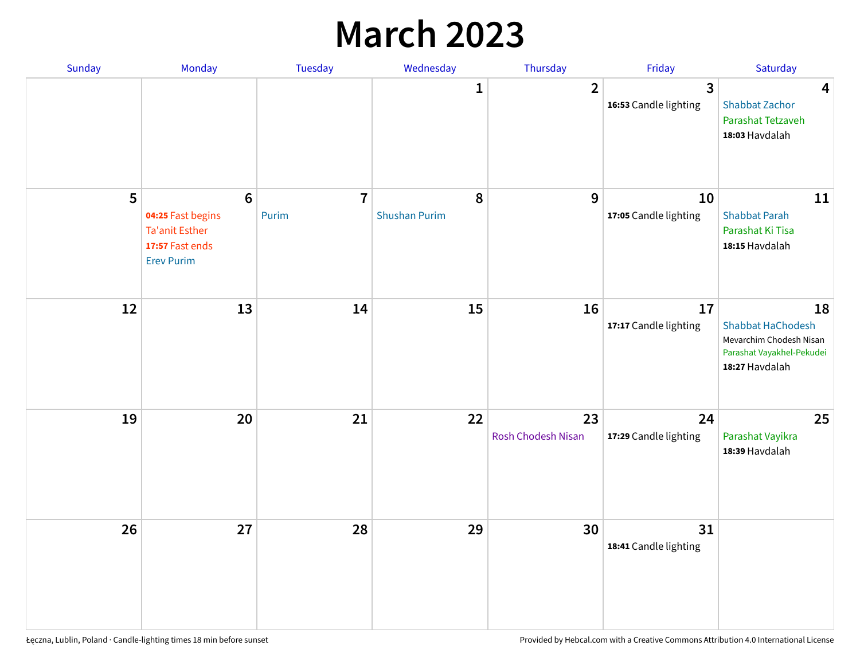# **March 2023**

| Sunday | Monday                                                                                               | Tuesday                 | Wednesday                 | Thursday                 | Friday                      | Saturday                                                                                                 |
|--------|------------------------------------------------------------------------------------------------------|-------------------------|---------------------------|--------------------------|-----------------------------|----------------------------------------------------------------------------------------------------------|
|        |                                                                                                      |                         | 1                         | $\overline{2}$           | 3<br>16:53 Candle lighting  | $\overline{\mathbf{4}}$<br><b>Shabbat Zachor</b><br>Parashat Tetzaveh<br>18:03 Havdalah                  |
| 5      | $6\phantom{a}$<br>04:25 Fast begins<br><b>Ta'anit Esther</b><br>17:57 Fast ends<br><b>Erev Purim</b> | $\overline{7}$<br>Purim | 8<br><b>Shushan Purim</b> | 9                        | 10<br>17:05 Candle lighting | 11<br><b>Shabbat Parah</b><br>Parashat Ki Tisa<br>18:15 Havdalah                                         |
| 12     | 13                                                                                                   | 14                      | 15                        | 16                       | 17<br>17:17 Candle lighting | 18<br><b>Shabbat HaChodesh</b><br>Mevarchim Chodesh Nisan<br>Parashat Vayakhel-Pekudei<br>18:27 Havdalah |
| 19     | 20                                                                                                   | 21                      | 22                        | 23<br>Rosh Chodesh Nisan | 24<br>17:29 Candle lighting | 25<br>Parashat Vayikra<br>18:39 Havdalah                                                                 |
| 26     | 27                                                                                                   | 28                      | 29                        | 30                       | 31<br>18:41 Candle lighting |                                                                                                          |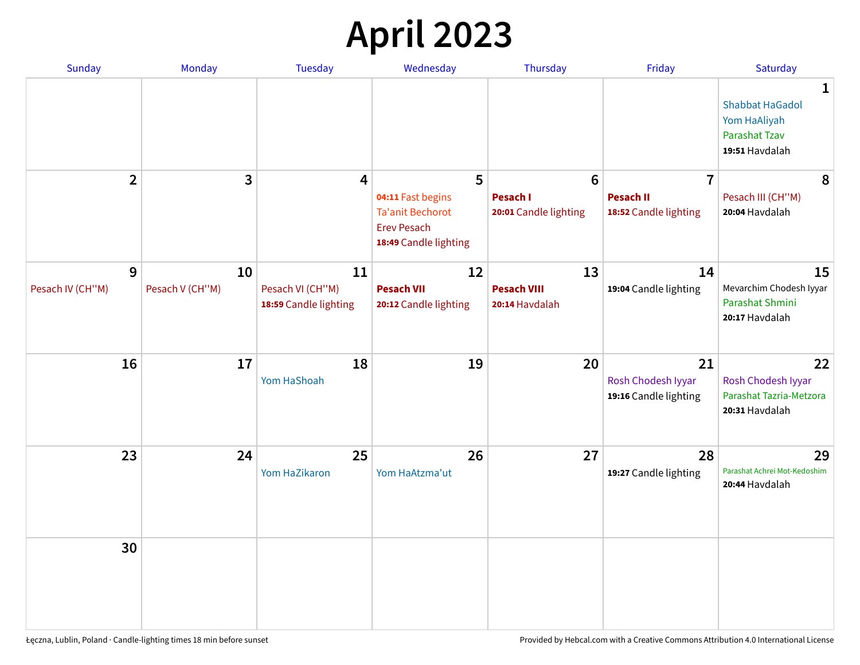# **April 2023**

| Sunday           | Monday          | <b>Tuesday</b>                            | Wednesday                                                                                   | Thursday                                 | Friday                                            | Saturday                                                                              |
|------------------|-----------------|-------------------------------------------|---------------------------------------------------------------------------------------------|------------------------------------------|---------------------------------------------------|---------------------------------------------------------------------------------------|
|                  |                 |                                           |                                                                                             |                                          |                                                   | 1<br><b>Shabbat HaGadol</b><br>Yom HaAliyah<br><b>Parashat Tzav</b><br>19:51 Havdalah |
| $\overline{2}$   | 3               | 4                                         | 5                                                                                           | $6\phantom{1}6$                          | $\overline{7}$                                    | 8                                                                                     |
|                  |                 |                                           | 04:11 Fast begins<br><b>Ta'anit Bechorot</b><br><b>Erev Pesach</b><br>18:49 Candle lighting | <b>Pesach I</b><br>20:01 Candle lighting | <b>Pesach II</b><br>18:52 Candle lighting         | Pesach III (CH"M)<br>20:04 Havdalah                                                   |
| 9                | 10              | 11                                        | 12                                                                                          | 13                                       | 14                                                | 15                                                                                    |
| Pesach IV (CH"M) | Pesach V (CH"M) | Pesach VI (CH"M)<br>18:59 Candle lighting | <b>Pesach VII</b><br>20:12 Candle lighting                                                  | <b>Pesach VIII</b><br>20:14 Havdalah     | 19:04 Candle lighting                             | Mevarchim Chodesh Iyyar<br>Parashat Shmini<br>20:17 Havdalah                          |
| 16               | 17              | 18<br>Yom HaShoah                         | 19                                                                                          | 20                                       | 21<br>Rosh Chodesh Iyyar<br>19:16 Candle lighting | 22<br>Rosh Chodesh Iyyar<br>Parashat Tazria-Metzora<br>20:31 Havdalah                 |
| 23               | 24              | 25<br>Yom HaZikaron                       | 26<br>Yom HaAtzma'ut                                                                        | 27                                       | 28<br>19:27 Candle lighting                       | 29<br>Parashat Achrei Mot-Kedoshim<br>20:44 Havdalah                                  |
| 30               |                 |                                           |                                                                                             |                                          |                                                   |                                                                                       |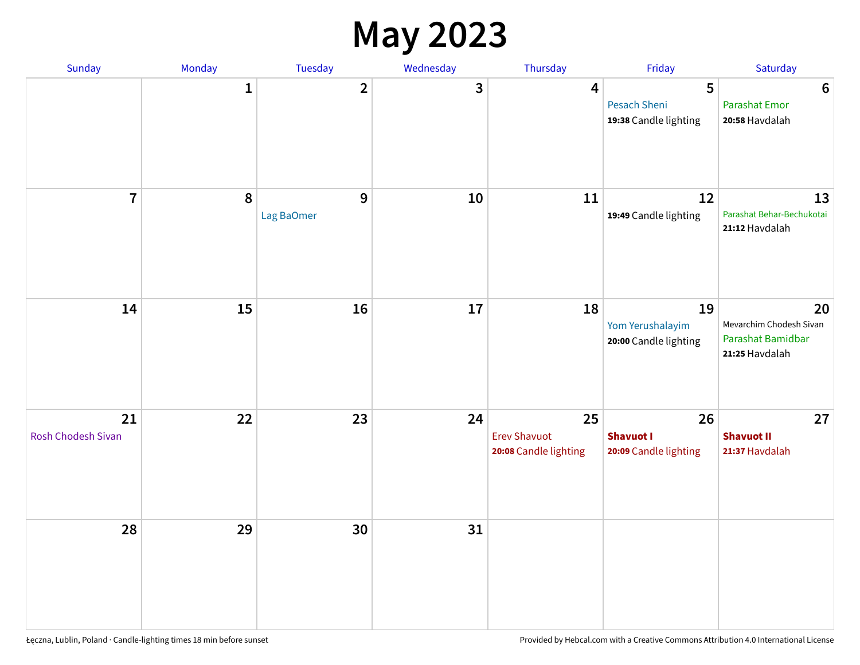### **May 2023**

| <b>Sunday</b>            | Monday      | Tuesday         | Wednesday | Thursday                                           | Friday                                          | Saturday                                                             |
|--------------------------|-------------|-----------------|-----------|----------------------------------------------------|-------------------------------------------------|----------------------------------------------------------------------|
|                          | $\mathbf 1$ | $\mathbf{2}$    | 3         | 4                                                  | 5<br>Pesach Sheni<br>19:38 Candle lighting      | $6\phantom{1}6$<br><b>Parashat Emor</b><br>20:58 Havdalah            |
| $\overline{7}$           | $\pmb{8}$   | 9<br>Lag BaOmer | 10        | 11                                                 | 12<br>19:49 Candle lighting                     | 13<br>Parashat Behar-Bechukotai<br>21:12 Havdalah                    |
| 14                       | 15          | 16              | 17        | 18                                                 | 19<br>Yom Yerushalayim<br>20:00 Candle lighting | 20<br>Mevarchim Chodesh Sivan<br>Parashat Bamidbar<br>21:25 Havdalah |
| 21<br>Rosh Chodesh Sivan | 22          | 23              | 24        | 25<br><b>Erev Shavuot</b><br>20:08 Candle lighting | 26<br><b>Shavuot I</b><br>20:09 Candle lighting | 27<br><b>Shavuot II</b><br>21:37 Havdalah                            |
| 28                       | 29          | 30              | 31        |                                                    |                                                 |                                                                      |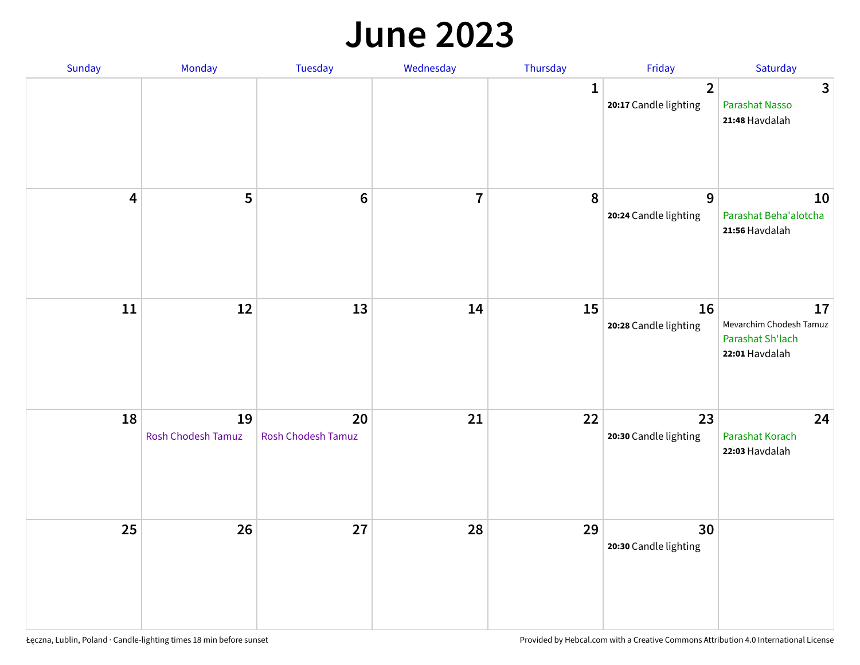#### **June 2023**

| Sunday                  | Monday                   | Tuesday                         | Wednesday      | Thursday     | Friday                                  | Saturday                                                            |
|-------------------------|--------------------------|---------------------------------|----------------|--------------|-----------------------------------------|---------------------------------------------------------------------|
|                         |                          |                                 |                | $\mathbf{1}$ | $\overline{2}$<br>20:17 Candle lighting | $\overline{3}$<br>Parashat Nasso<br>21:48 Havdalah                  |
| $\overline{\mathbf{4}}$ | 5                        | $\bf 6$                         | $\overline{7}$ | 8            | 9<br>20:24 Candle lighting              | 10<br>Parashat Beha'alotcha<br>21:56 Havdalah                       |
| $11\,$                  | 12                       | 13                              | 14             | 15           | 16<br>20:28 Candle lighting             | 17<br>Mevarchim Chodesh Tamuz<br>Parashat Sh'lach<br>22:01 Havdalah |
| 18                      | 19<br>Rosh Chodesh Tamuz | 20<br><b>Rosh Chodesh Tamuz</b> | 21             | 22           | 23<br>20:30 Candle lighting             | 24<br>Parashat Korach<br>22:03 Havdalah                             |
| 25                      | 26                       | 27                              | 28             | 29           | 30<br>20:30 Candle lighting             |                                                                     |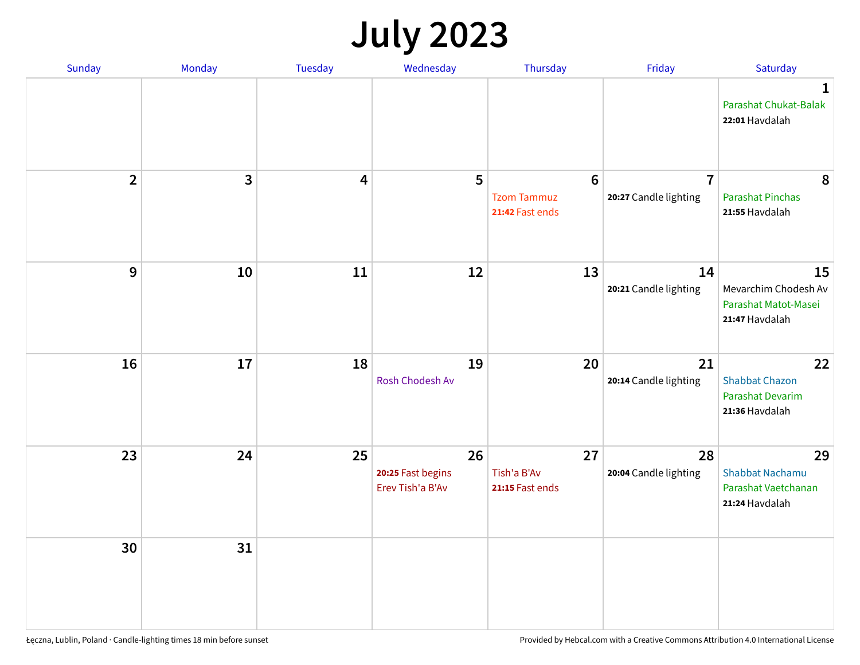# **July 2023**

| Sunday         | Monday       | <b>Tuesday</b> | Wednesday                                   | Thursday                                                 | Friday                                  | Saturday                                                              |
|----------------|--------------|----------------|---------------------------------------------|----------------------------------------------------------|-----------------------------------------|-----------------------------------------------------------------------|
|                |              |                |                                             |                                                          |                                         | $\mathbf 1$<br>Parashat Chukat-Balak<br>22:01 Havdalah                |
| $\overline{2}$ | $\mathbf{3}$ | 4              | 5                                           | $6\phantom{1}6$<br><b>Tzom Tammuz</b><br>21:42 Fast ends | $\overline{7}$<br>20:27 Candle lighting | 8<br><b>Parashat Pinchas</b><br>21:55 Havdalah                        |
| 9              | 10           | 11             | 12                                          | 13                                                       | 14<br>20:21 Candle lighting             | 15<br>Mevarchim Chodesh Av<br>Parashat Matot-Masei<br>21:47 Havdalah  |
| 16             | 17           | 18             | 19<br>Rosh Chodesh Av                       | 20                                                       | 21<br>20:14 Candle lighting             | 22<br><b>Shabbat Chazon</b><br>Parashat Devarim<br>21:36 Havdalah     |
| 23             | 24           | 25             | 26<br>20:25 Fast begins<br>Erev Tish'a B'Av | 27<br>Tish'a B'Av<br>21:15 Fast ends                     | 28<br>20:04 Candle lighting             | 29<br><b>Shabbat Nachamu</b><br>Parashat Vaetchanan<br>21:24 Havdalah |
| 30             | 31           |                |                                             |                                                          |                                         |                                                                       |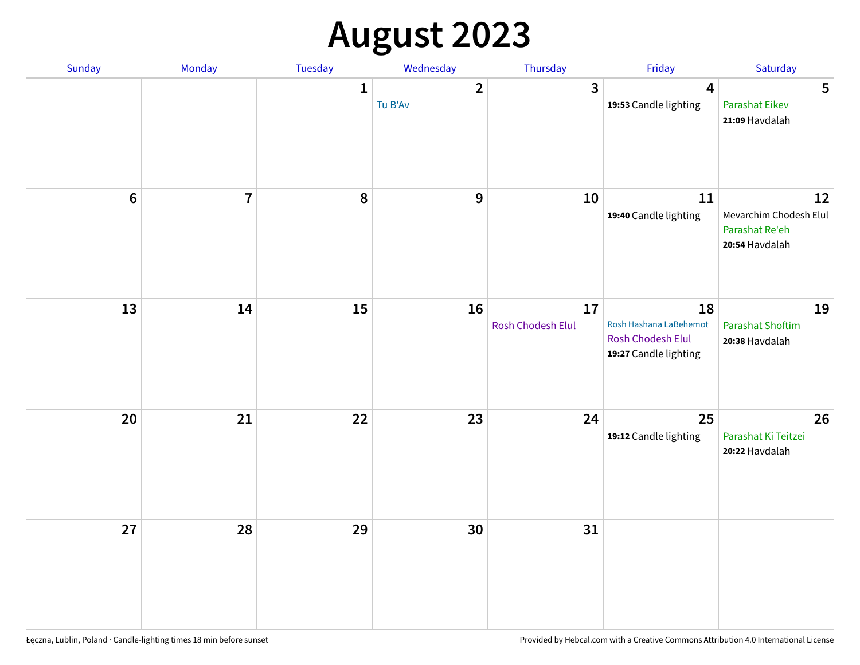# **August 2023**

| Sunday  | Monday         | Tuesday      | Wednesday               | Thursday                | Friday                                                                     | Saturday                                                         |
|---------|----------------|--------------|-------------------------|-------------------------|----------------------------------------------------------------------------|------------------------------------------------------------------|
|         |                | $\mathbf{1}$ | $\mathbf{2}$<br>Tu B'Av | $\mathbf{3}$            | $\overline{4}$<br>19:53 Candle lighting                                    | 5<br><b>Parashat Eikev</b><br>21:09 Havdalah                     |
| $\bf 6$ | $\overline{7}$ | 8            | $\boldsymbol{9}$        | 10                      | 11<br>19:40 Candle lighting                                                | 12<br>Mevarchim Chodesh Elul<br>Parashat Re'eh<br>20:54 Havdalah |
| 13      | 14             | 15           | 16                      | 17<br>Rosh Chodesh Elul | 18<br>Rosh Hashana LaBehemot<br>Rosh Chodesh Elul<br>19:27 Candle lighting | 19<br><b>Parashat Shoftim</b><br>20:38 Havdalah                  |
| 20      | 21             | 22           | 23                      | 24                      | 25<br>19:12 Candle lighting                                                | 26<br>Parashat Ki Teitzei<br>20:22 Havdalah                      |
| 27      | 28             | 29           | 30                      | 31                      |                                                                            |                                                                  |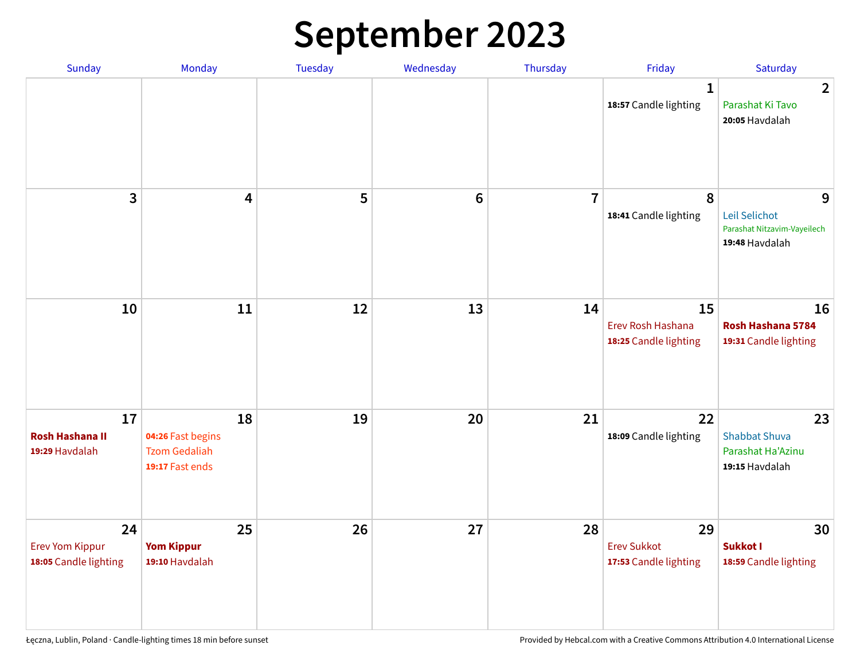# **September 2023**

| Sunday                                                | Monday                                                             | Tuesday | Wednesday       | Thursday       | Friday                                            | Saturday                                                            |
|-------------------------------------------------------|--------------------------------------------------------------------|---------|-----------------|----------------|---------------------------------------------------|---------------------------------------------------------------------|
|                                                       |                                                                    |         |                 |                | 1<br>18:57 Candle lighting                        | $\overline{2}$<br>Parashat Ki Tavo<br>20:05 Havdalah                |
| 3                                                     | $\overline{\mathbf{4}}$                                            | 5       | $6\phantom{1}6$ | $\overline{7}$ | 8<br>18:41 Candle lighting                        | 9<br>Leil Selichot<br>Parashat Nitzavim-Vayeilech<br>19:48 Havdalah |
| 10                                                    | 11                                                                 | 12      | 13              | 14             | 15<br>Erev Rosh Hashana<br>18:25 Candle lighting  | 16<br>Rosh Hashana 5784<br>19:31 Candle lighting                    |
| 17<br><b>Rosh Hashana II</b><br>19:29 Havdalah        | 18<br>04:26 Fast begins<br><b>Tzom Gedaliah</b><br>19:17 Fast ends | 19      | 20              | 21             | 22<br>18:09 Candle lighting                       | 23<br><b>Shabbat Shuva</b><br>Parashat Ha'Azinu<br>19:15 Havdalah   |
| 24<br><b>Erev Yom Kippur</b><br>18:05 Candle lighting | 25<br><b>Yom Kippur</b><br>19:10 Havdalah                          | 26      | 27              | 28             | 29<br><b>Erev Sukkot</b><br>17:53 Candle lighting | 30<br>Sukkot I<br>18:59 Candle lighting                             |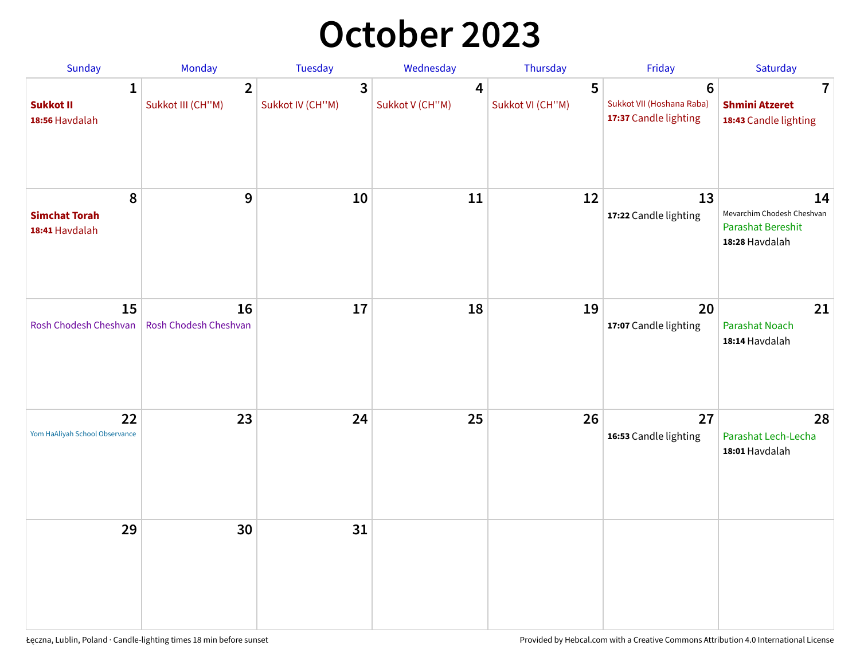# **October 2023**

| Sunday                                             | Monday                              | <b>Tuesday</b>        | Wednesday                         | Thursday              | Friday                                                               | Saturday                                                                       |
|----------------------------------------------------|-------------------------------------|-----------------------|-----------------------------------|-----------------------|----------------------------------------------------------------------|--------------------------------------------------------------------------------|
| $\mathbf{1}$<br><b>Sukkot II</b><br>18:56 Havdalah | $\overline{2}$<br>Sukkot III (CH"M) | 3<br>Sukkot IV (CH"M) | $\overline{4}$<br>Sukkot V (CH"M) | 5<br>Sukkot VI (CH"M) | $6\phantom{1}$<br>Sukkot VII (Hoshana Raba)<br>17:37 Candle lighting | $\overline{\mathbf{7}}$<br><b>Shmini Atzeret</b><br>18:43 Candle lighting      |
| 8<br><b>Simchat Torah</b><br>18:41 Havdalah        | 9                                   | 10                    | 11                                | 12                    | 13<br>17:22 Candle lighting                                          | 14<br>Mevarchim Chodesh Cheshvan<br><b>Parashat Bereshit</b><br>18:28 Havdalah |
| 15<br>Rosh Chodesh Cheshvan                        | 16<br>Rosh Chodesh Cheshvan         | 17                    | 18                                | 19                    | 20<br>17:07 Candle lighting                                          | 21<br>Parashat Noach<br>18:14 Havdalah                                         |
| 22<br>Yom HaAliyah School Observance               | 23                                  | 24                    | 25                                | 26                    | 27<br>16:53 Candle lighting                                          | 28<br>Parashat Lech-Lecha<br>18:01 Havdalah                                    |
| 29                                                 | 30                                  | 31                    |                                   |                       |                                                                      |                                                                                |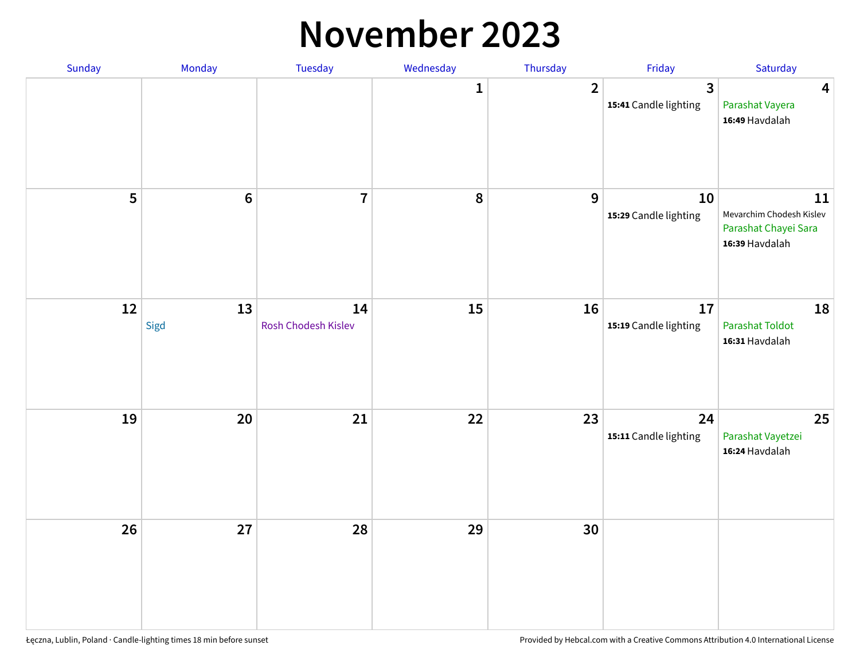#### **November 2023**

| Sunday | Monday         | Tuesday                   | Wednesday    | Thursday         | Friday                      | Saturday                                                                 |
|--------|----------------|---------------------------|--------------|------------------|-----------------------------|--------------------------------------------------------------------------|
|        |                |                           | $\mathbf{1}$ | $\overline{2}$   | 3<br>15:41 Candle lighting  | $\overline{\mathbf{4}}$<br>Parashat Vayera<br>16:49 Havdalah             |
| 5      | $6\phantom{a}$ | $\overline{7}$            | ${\bf 8}$    | $\boldsymbol{9}$ | 10<br>15:29 Candle lighting | 11<br>Mevarchim Chodesh Kislev<br>Parashat Chayei Sara<br>16:39 Havdalah |
| 12     | 13<br>Sigd     | 14<br>Rosh Chodesh Kislev | 15           | 16               | 17<br>15:19 Candle lighting | 18<br><b>Parashat Toldot</b><br>16:31 Havdalah                           |
| 19     | 20             | 21                        | 22           | 23               | 24<br>15:11 Candle lighting | 25<br>Parashat Vayetzei<br>16:24 Havdalah                                |
| 26     | 27             | 28                        | 29           | 30               |                             |                                                                          |